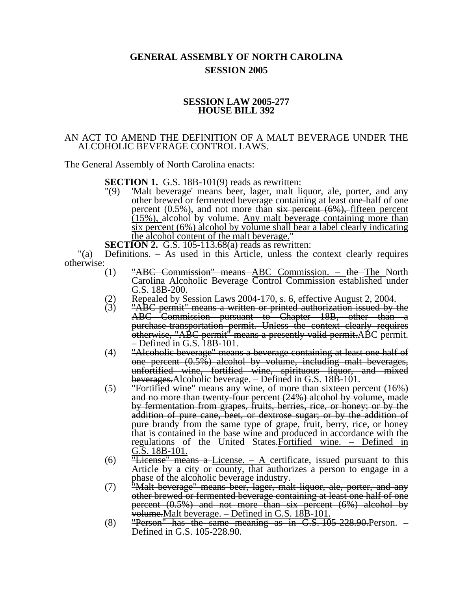## **GENERAL ASSEMBLY OF NORTH CAROLINA SESSION 2005**

## **SESSION LAW 2005-277 HOUSE BILL 392**

## AN ACT TO AMEND THE DEFINITION OF A MALT BEVERAGE UNDER THE ALCOHOLIC BEVERAGE CONTROL LAWS.

The General Assembly of North Carolina enacts:

**SECTION 1.** G.S. 18B-101(9) reads as rewritten:

- "(9) 'Malt beverage' means beer, lager, malt liquor, ale, porter, and any other brewed or fermented beverage containing at least one-half of one percent (0.5%), and not more than six percent (6%), fifteen percent  $(15%)$ , alcohol by volume. Any malt beverage containing more than six percent (6%) alcohol by volume shall bear a label clearly indicating the alcohol content of the malt beverage."
- **SECTION 2.** G.S. 105-113.68(a) reads as rewritten:

"(a) Definitions. – As used in this Article, unless the context clearly requires otherwise:  $(1)$ 

- "ABC Commission" means ABC Commission. the The North Carolina Alcoholic Beverage Control Commission established under G.S. 18B-200.
- 
- (2) Repealed by Session Laws 2004-170, s. 6, effective August 2, 2004.<br>  $(3)$  "ABC permit" means a written or printed authorization issued by "ABC permit" means a written or printed authorization issued by the ABC Commission pursuant to Chapter 18B, other than a purchase-transportation permit. Unless the context clearly requires otherwise, "ABC permit" means a presently valid permit. ABC permit. – Defined in G.S. 18B-101.
- $(4)$  Theoholic beverage" means a beverage containing at least one half of one percent (0.5%) alcohol by volume, including malt beverages, unfortified wine, fortified wine, spirituous liquor, and mixed beverages.Alcoholic beverage. – Defined in G.S. 18B-101.
- $(5)$  "Fortified wine" means any wine, of more than sixteen percent  $(16%)$ and no more than twenty-four percent (24%) alcohol by volume, made by fermentation from grapes, fruits, berries, rice, or honey; or by the addition of pure cane, beet, or dextrose sugar; or by the addition of pure brandy from the same type of grape, fruit, berry, rice, or honey that is contained in the base wine and produced in accordance with the regulations of the United States. Fortified wine. – Defined in G.S. 18B-101.
- (6)  $\overline{''}$ **License**<sup>"</sup> means a License. A certificate, issued pursuant to this Article by a city or county, that authorizes a person to engage in a phase of the alcoholic beverage industry.
- (7) "Malt beverage" means beer, lager, malt liquor, ale, porter, and any other brewed or fermented beverage containing at least one half of one percent (0.5%) and not more than six percent (6%) alcohol by volume.Malt beverage. – Defined in G.S. 18B-101.
- $(8)$  "Person" has the same meaning as in G.S.  $105-228.90$ . Person. Defined in G.S. 105-228.90.